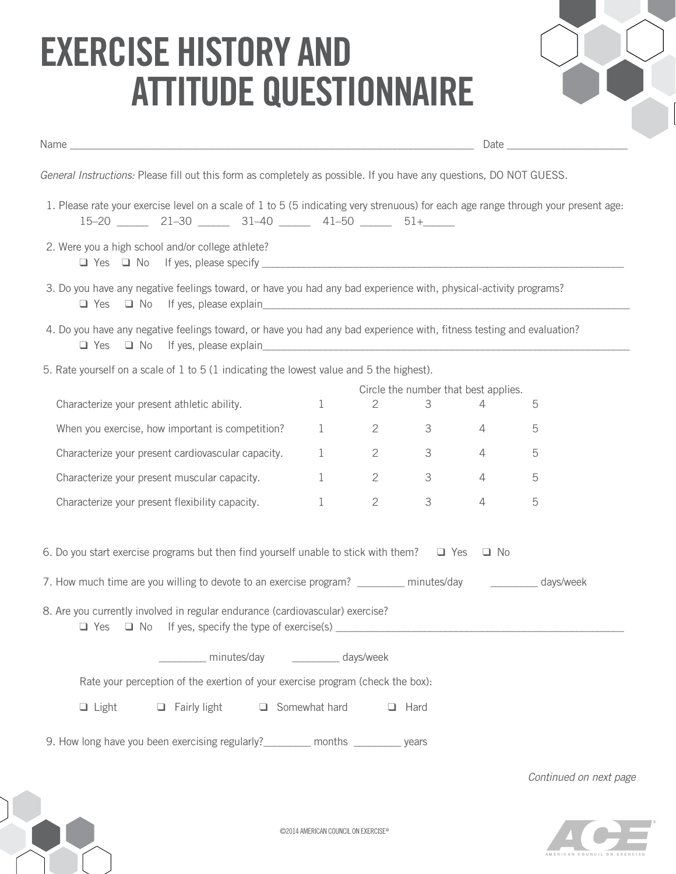## **Exercise History and Attitude Questionnaire**



|                                                                                                                                                                                                                                                                                                                                                         |              |                                |                  |                | Date and the contract of the contract of the contract of the contract of the contract of the contract of the contract of the contract of the contract of the contract of the contract of the contract of the contract of the c |  |  |  |
|---------------------------------------------------------------------------------------------------------------------------------------------------------------------------------------------------------------------------------------------------------------------------------------------------------------------------------------------------------|--------------|--------------------------------|------------------|----------------|--------------------------------------------------------------------------------------------------------------------------------------------------------------------------------------------------------------------------------|--|--|--|
| General Instructions: Please fill out this form as completely as possible. If you have any questions, DO NOT GUESS.                                                                                                                                                                                                                                     |              |                                |                  |                |                                                                                                                                                                                                                                |  |  |  |
| 1. Please rate your exercise level on a scale of 1 to 5 (5 indicating very strenuous) for each age range through your present age:<br>$15-20$ 21-30 31-40 41-50 51+                                                                                                                                                                                     |              |                                |                  |                |                                                                                                                                                                                                                                |  |  |  |
| 2. Were you a high school and/or college athlete?                                                                                                                                                                                                                                                                                                       |              |                                |                  |                |                                                                                                                                                                                                                                |  |  |  |
| 3. Do you have any negative feelings toward, or have you had any bad experience with, physical-activity programs?<br>The Yes The More if yes, please explain<br>The More is a series with the More is a series of the More is a series of the More is a series of the More is<br>The More is a series of the More is a series of the More is a series o |              |                                |                  |                |                                                                                                                                                                                                                                |  |  |  |
| 4. Do you have any negative feelings toward, or have you had any bad experience with, fitness testing and evaluation?<br>$\Box$ Yes                                                                                                                                                                                                                     |              |                                |                  |                |                                                                                                                                                                                                                                |  |  |  |
| 5. Rate yourself on a scale of 1 to 5 (1 indicating the lowest value and 5 the highest).                                                                                                                                                                                                                                                                |              |                                |                  |                |                                                                                                                                                                                                                                |  |  |  |
| Circle the number that best applies.                                                                                                                                                                                                                                                                                                                    |              |                                |                  |                |                                                                                                                                                                                                                                |  |  |  |
| Characterize your present athletic ability.                                                                                                                                                                                                                                                                                                             | 1            | $2 \left( \frac{1}{2} \right)$ | 3                | $\overline{4}$ | 5                                                                                                                                                                                                                              |  |  |  |
| When you exercise, how important is competition?                                                                                                                                                                                                                                                                                                        | 1            |                                | $2 \t 3$         | 4              | 5                                                                                                                                                                                                                              |  |  |  |
| Characterize your present cardiovascular capacity.                                                                                                                                                                                                                                                                                                      | 1            | $2\overline{ }$                | $3 \overline{3}$ | 4              | 5                                                                                                                                                                                                                              |  |  |  |
| Characterize your present muscular capacity.                                                                                                                                                                                                                                                                                                            | $\mathbf{1}$ | $2\overline{ }$                | 3 <sup>7</sup>   | $\overline{4}$ | 5                                                                                                                                                                                                                              |  |  |  |
| Characterize your present flexibility capacity.                                                                                                                                                                                                                                                                                                         | 1            | $2 \left( \frac{1}{2} \right)$ | 3                | $\overline{4}$ | 5                                                                                                                                                                                                                              |  |  |  |
| 6. Do you start exercise programs but then find yourself unable to stick with them? $\Box$ Yes $\Box$ No                                                                                                                                                                                                                                                |              |                                |                  |                |                                                                                                                                                                                                                                |  |  |  |
| 7. How much time are you willing to devote to an exercise program? ________ minutes/day __________ days/week                                                                                                                                                                                                                                            |              |                                |                  |                |                                                                                                                                                                                                                                |  |  |  |
| 8. Are you currently involved in regular endurance (cardiovascular) exercise?<br>$\Box$ Yes                                                                                                                                                                                                                                                             |              |                                |                  |                |                                                                                                                                                                                                                                |  |  |  |
| minutes/day _________ days/week                                                                                                                                                                                                                                                                                                                         |              |                                |                  |                |                                                                                                                                                                                                                                |  |  |  |
| Rate your perception of the exertion of your exercise program (check the box):                                                                                                                                                                                                                                                                          |              |                                |                  |                |                                                                                                                                                                                                                                |  |  |  |
| $\Box$ Fairly light<br>$\Box$ Somewhat hard<br>$\Box$ Light<br>$\Box$ Hard                                                                                                                                                                                                                                                                              |              |                                |                  |                |                                                                                                                                                                                                                                |  |  |  |
|                                                                                                                                                                                                                                                                                                                                                         |              |                                |                  |                |                                                                                                                                                                                                                                |  |  |  |
| 9. How long have you been exercising regularly? ________ months ________ years                                                                                                                                                                                                                                                                          |              |                                |                  |                |                                                                                                                                                                                                                                |  |  |  |

*Continued on next page*



©2014 American council on exercise@